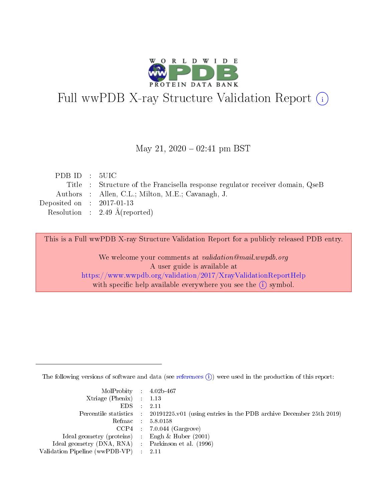

# Full wwPDB X-ray Structure Validation Report (i)

#### May 21,  $2020 - 02:41$  pm BST

| PDBID : 5UIC                |                                                                               |
|-----------------------------|-------------------------------------------------------------------------------|
|                             | Title : Structure of the Francisella response regulator receiver domain, QseB |
|                             | Authors : Allen, C.L.; Milton, M.E.; Cavanagh, J.                             |
| Deposited on : $2017-01-13$ |                                                                               |
|                             | Resolution : 2.49 $\AA$ (reported)                                            |

This is a Full wwPDB X-ray Structure Validation Report for a publicly released PDB entry.

We welcome your comments at validation@mail.wwpdb.org A user guide is available at <https://www.wwpdb.org/validation/2017/XrayValidationReportHelp> with specific help available everywhere you see the  $(i)$  symbol.

The following versions of software and data (see [references](https://www.wwpdb.org/validation/2017/XrayValidationReportHelp#references)  $(i)$ ) were used in the production of this report:

| MolProbity : $4.02b-467$                            |                                                                                            |
|-----------------------------------------------------|--------------------------------------------------------------------------------------------|
| Xtriage (Phenix) $: 1.13$                           |                                                                                            |
| EDS -                                               | 2.11                                                                                       |
|                                                     | Percentile statistics : 20191225.v01 (using entries in the PDB archive December 25th 2019) |
|                                                     | Refmac 58.0158                                                                             |
|                                                     | $CCP4$ 7.0.044 (Gargrove)                                                                  |
| Ideal geometry (proteins) : Engh $\&$ Huber (2001)  |                                                                                            |
| Ideal geometry (DNA, RNA) : Parkinson et al. (1996) |                                                                                            |
| Validation Pipeline (wwPDB-VP)                      | -2.11                                                                                      |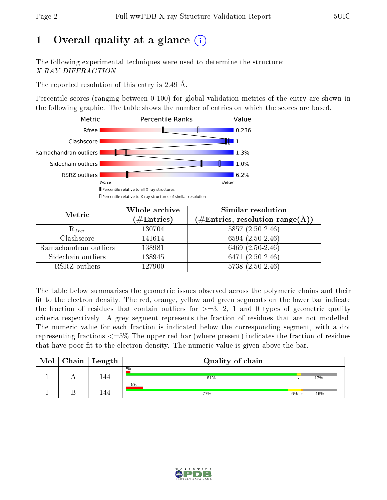# 1 [O](https://www.wwpdb.org/validation/2017/XrayValidationReportHelp#overall_quality)verall quality at a glance  $(i)$

The following experimental techniques were used to determine the structure: X-RAY DIFFRACTION

The reported resolution of this entry is 2.49 Å.

Percentile scores (ranging between 0-100) for global validation metrics of the entry are shown in the following graphic. The table shows the number of entries on which the scores are based.



| Metric                | Whole archive<br>$(\#\mathrm{Entries})$ | Similar resolution<br>$(\#\text{Entries},\,\text{resolution}\,\,\text{range}(\textup{\AA}))$ |  |  |
|-----------------------|-----------------------------------------|----------------------------------------------------------------------------------------------|--|--|
| $R_{free}$            | 130704                                  | $5857(2.50-2.46)$                                                                            |  |  |
| Clashscore            | 141614                                  | $6594(2.50-2.46)$                                                                            |  |  |
| Ramachandran outliers | 138981                                  | 6469 $(2.50-2.46)$                                                                           |  |  |
| Sidechain outliers    | 138945                                  | 6471 $(2.50-2.46)$                                                                           |  |  |
| RSRZ outliers         | 127900                                  | $5738(2.50-2.46)$                                                                            |  |  |

The table below summarises the geometric issues observed across the polymeric chains and their fit to the electron density. The red, orange, yellow and green segments on the lower bar indicate the fraction of residues that contain outliers for  $>=3, 2, 1$  and 0 types of geometric quality criteria respectively. A grey segment represents the fraction of residues that are not modelled. The numeric value for each fraction is indicated below the corresponding segment, with a dot representing fractions  $\epsilon=5\%$  The upper red bar (where present) indicates the fraction of residues that have poor fit to the electron density. The numeric value is given above the bar.

| Mol | ${\rm Chain \mid Length}$ | Quality of chain |    |     |
|-----|---------------------------|------------------|----|-----|
|     | 144                       | 2%<br>81%        |    | 17% |
|     | 44                        | 8%<br>77%        | 6% | 16% |

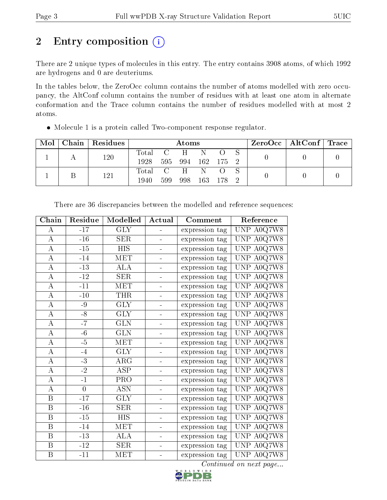# 2 Entry composition (i)

There are 2 unique types of molecules in this entry. The entry contains 3908 atoms, of which 1992 are hydrogens and 0 are deuteriums.

In the tables below, the ZeroOcc column contains the number of atoms modelled with zero occupancy, the AltConf column contains the number of residues with at least one atom in alternate conformation and the Trace column contains the number of residues modelled with at most 2 atoms.

| Mol |  | Chain   Residues |             | Atoms |               |  |            | ZeroOcc   AltConf   Trace |  |  |
|-----|--|------------------|-------------|-------|---------------|--|------------|---------------------------|--|--|
|     |  | 120              | Total C H N |       |               |  | $\bigcirc$ |                           |  |  |
|     |  | 1928             | 595         |       | 994 162 175 2 |  |            |                           |  |  |
|     |  | 121              | Total C H N |       |               |  |            |                           |  |  |
|     |  | 1940             | 599         | 998   | 163           |  |            |                           |  |  |

Molecule 1 is a protein called Two-component response regulator.

| Chain              | Residue      | Modelled                | Actual | Comment        | Reference  |
|--------------------|--------------|-------------------------|--------|----------------|------------|
| A                  | $-17$        | $\overline{\text{GLY}}$ |        | expression tag | UNP A0Q7W8 |
| $\boldsymbol{A}$   | $-16$        | <b>SER</b>              |        | expression tag | UNP A0Q7W8 |
| А                  | $-15$        | <b>HIS</b>              |        | expression tag | UNP A0Q7W8 |
| $\bf{A}$           | $-14$        | <b>MET</b>              |        | expression tag | UNP A0Q7W8 |
| $\boldsymbol{A}$   | $\mbox{-}13$ | ALA                     |        | expression tag | UNP A0Q7W8 |
| $\boldsymbol{A}$   | $-12$        | <b>SER</b>              |        | expression tag | UNP A0Q7W8 |
| $\bf{A}$           | $-11$        | MET                     |        | expression tag | UNP A0Q7W8 |
| $\bf{A}$           | $-10$        | <b>THR</b>              |        | expression tag | UNP A0Q7W8 |
| $\bf{A}$           | $-9$         | <b>GLY</b>              |        | expression tag | UNP A0Q7W8 |
| $\bf{A}$           | $-8$         | $\overline{\text{GLY}}$ |        | expression tag | UNP A0Q7W8 |
| $\boldsymbol{A}$   | $-7$         | <b>GLN</b>              |        | expression tag | UNP A0Q7W8 |
| $\bf{A}$           | $-6$         | <b>GLN</b>              |        | expression tag | UNP A0Q7W8 |
| $\overline{A}$     | $-5$         | MET                     |        | expression tag | UNP A0Q7W8 |
| $\bf{A}$           | $-4$         | <b>GLY</b>              |        | expression tag | UNP A0Q7W8 |
| $\overline{\rm A}$ | $-3$         | $AR\bar{G}$             |        | expression tag | UNP A0Q7W8 |
| $\bf{A}$           | $-2$         | <b>ASP</b>              |        | expression tag | UNP A0Q7W8 |
| $\boldsymbol{A}$   | $-1$         | PRO                     |        | expression tag | UNP A0Q7W8 |
| $\overline{A}$     | $\theta$     | <b>ASN</b>              |        | expression tag | UNP A0Q7W8 |
| $\, {\bf B}$       | $-17$        | <b>GLY</b>              |        | expression tag | UNP A0Q7W8 |
| $\, {\bf B}$       | $-16$        | <b>SER</b>              |        | expression tag | UNP A0Q7W8 |
| $\, {\bf B}$       | $-15$        | <b>HIS</b>              |        | expression tag | UNP A0Q7W8 |
| $\boldsymbol{B}$   | $-14$        | <b>MET</b>              |        | expression tag | UNP A0Q7W8 |
| $\, {\bf B}$       | $-13$        | ALA                     |        | expression tag | UNP A0Q7W8 |
| $\, {\bf B}$       | $-12$        | <b>SER</b>              |        | expression tag | UNP A0Q7W8 |
| $\, {\bf B}$       | $-11$        | MET                     |        | expression tag | UNP A0Q7W8 |

There are 36 discrepancies between the modelled and reference sequences:

Continued on next page...

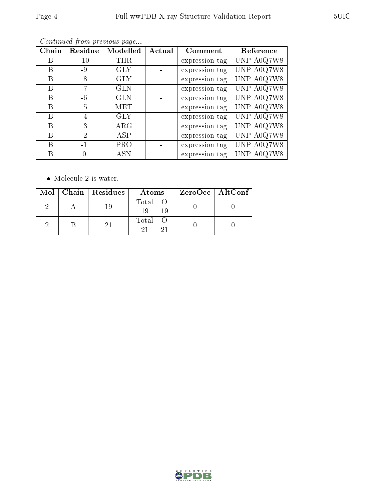| Chain | Residue | Modelled   | Actual | Comment        | Reference  |
|-------|---------|------------|--------|----------------|------------|
| В     | $-10$   | <b>THR</b> |        | expression tag | UNP A0Q7W8 |
| В     | -9      | <b>GLY</b> |        | expression tag | UNP A0Q7W8 |
| B     | $-8$    | <b>GLY</b> |        | expression tag | UNP A0Q7W8 |
| B     | $-7$    | <b>GLN</b> |        | expression tag | UNP A0Q7W8 |
| В     | $-6$    | <b>GLN</b> |        | expression tag | UNP A0Q7W8 |
| В     | $-5$    | MET        |        | expression tag | UNP A0Q7W8 |
| В     | $-4$    | <b>GLY</b> |        | expression tag | UNP A0Q7W8 |
| В     | $-3$    | $\rm{ARG}$ |        | expression tag | UNP A0Q7W8 |
| В     | $-2$    | ASP        |        | expression tag | UNP A0Q7W8 |
| В     | $-1$    | <b>PRO</b> |        | expression tag | UNP A0Q7W8 |
| B     | 0       | <b>ASN</b> |        | expression tag | UNP A0Q7W8 |
|       |         |            |        |                |            |

Continued from previous page...

 $\bullet\,$  Molecule 2 is water.

|  | Mol   Chain   Residues | Atoms                | ZeroOcc   AltConf |
|--|------------------------|----------------------|-------------------|
|  |                        | Total O<br>19<br>-19 |                   |
|  |                        | Total                |                   |



RLDWIDE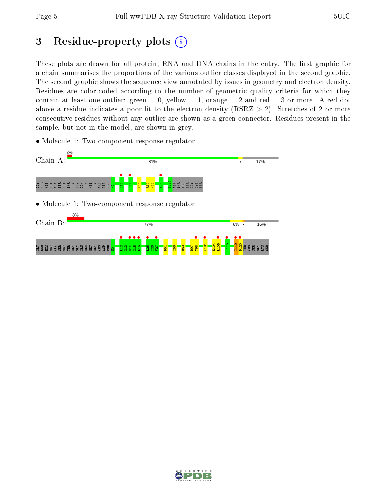# 3 Residue-property plots  $(i)$

These plots are drawn for all protein, RNA and DNA chains in the entry. The first graphic for a chain summarises the proportions of the various outlier classes displayed in the second graphic. The second graphic shows the sequence view annotated by issues in geometry and electron density. Residues are color-coded according to the number of geometric quality criteria for which they contain at least one outlier: green  $= 0$ , yellow  $= 1$ , orange  $= 2$  and red  $= 3$  or more. A red dot above a residue indicates a poor fit to the electron density (RSRZ  $> 2$ ). Stretches of 2 or more consecutive residues without any outlier are shown as a green connector. Residues present in the sample, but not in the model, are shown in grey.

• Molecule 1: Two-component response regulator



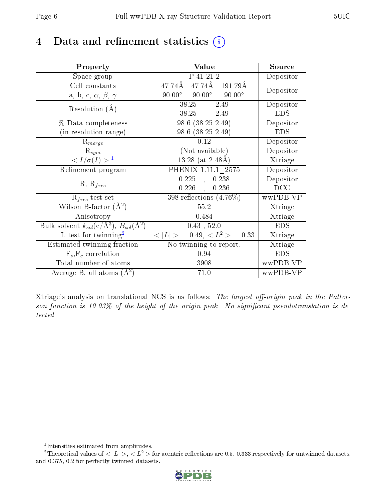# 4 Data and refinement statistics  $(i)$

| Property                                                                | Value                                            | Source     |
|-------------------------------------------------------------------------|--------------------------------------------------|------------|
| Space group                                                             | P 41 21 2                                        | Depositor  |
| Cell constants                                                          | 47.74Å<br>47.74Å<br>191.79Å                      | Depositor  |
| a, b, c, $\alpha$ , $\beta$ , $\gamma$                                  | $90.00^{\circ}$ $90.00^{\circ}$<br>$90.00^\circ$ |            |
| Resolution $(A)$                                                        | $38.25 - 2.49$                                   | Depositor  |
|                                                                         | $38.25 - 2.49$                                   | <b>EDS</b> |
| % Data completeness                                                     | $98.6(38.25-2.49)$                               | Depositor  |
| (in resolution range)                                                   | $98.6(38.25-2.49)$                               | <b>EDS</b> |
| $R_{merge}$                                                             | 0.12                                             | Depositor  |
| $\mathrm{R}_{sym}$                                                      | (Not available)                                  | Depositor  |
| $\langle I/\sigma(I) \rangle^{-1}$                                      | $13.28$ (at $2.48\text{\AA})$                    | Xtriage    |
| Refinement program                                                      | PHENIX 1.11.1 2575                               | Depositor  |
|                                                                         | 0.225<br>0.238<br>$\sim$                         | Depositor  |
| $R, R_{free}$                                                           | $0.226$ ,<br>0.236                               | DCC        |
| $\mathcal{R}_{free}$ test set                                           | 398 reflections $(4.76\%)$                       | wwPDB-VP   |
| Wilson B-factor $(A^2)$                                                 | 55.2                                             | Xtriage    |
| Anisotropy                                                              | 0.484                                            | Xtriage    |
| Bulk solvent $k_{sol}(\mathrm{e}/\mathrm{A}^3),\,B_{sol}(\mathrm{A}^2)$ | $0.43$ , 52.0                                    | <b>EDS</b> |
| L-test for twinning <sup>2</sup>                                        | $< L >$ = 0.49, $< L2$ = 0.33                    | Xtriage    |
| Estimated twinning fraction                                             | No twinning to report.                           | Xtriage    |
| $F_o, F_c$ correlation                                                  | 0.94                                             | <b>EDS</b> |
| Total number of atoms                                                   | 3908                                             | wwPDB-VP   |
| Average B, all atoms $(A^2)$                                            | 71.0                                             | wwPDB-VP   |

Xtriage's analysis on translational NCS is as follows: The largest off-origin peak in the Patterson function is 10.03% of the height of the origin peak. No significant pseudotranslation is detected.

<sup>&</sup>lt;sup>2</sup>Theoretical values of  $\langle |L| \rangle$ ,  $\langle L^2 \rangle$  for acentric reflections are 0.5, 0.333 respectively for untwinned datasets, and 0.375, 0.2 for perfectly twinned datasets.



<span id="page-5-1"></span><span id="page-5-0"></span><sup>1</sup> Intensities estimated from amplitudes.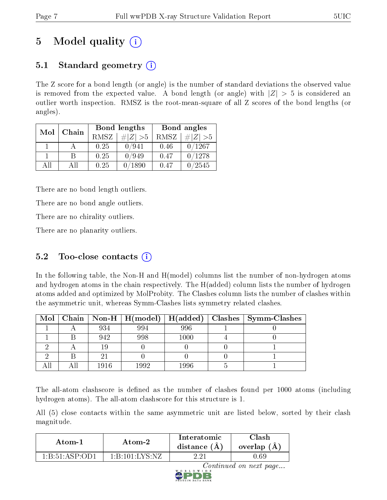# 5 Model quality  $(i)$

### 5.1 Standard geometry  $(i)$

The Z score for a bond length (or angle) is the number of standard deviations the observed value is removed from the expected value. A bond length (or angle) with  $|Z| > 5$  is considered an outlier worth inspection. RMSZ is the root-mean-square of all Z scores of the bond lengths (or angles).

| Mol | Chain |      | Bond lengths                 | Bond angles |                 |  |
|-----|-------|------|------------------------------|-------------|-----------------|--|
|     |       | RMSZ | $\vert \# \vert Z \vert > 5$ | RMSZ        | # $ Z  > 5$     |  |
|     |       | 0.25 | 0/941                        | 0.46        | 0/1267          |  |
|     | R     | 0.25 | 0/949                        | 0.47        | 0/1278          |  |
| AH  | Αll   | 0.25 | 1890                         | 0.47        | $^{\prime}2545$ |  |

There are no bond length outliers.

There are no bond angle outliers.

There are no chirality outliers.

There are no planarity outliers.

### 5.2 Too-close contacts  $(i)$

In the following table, the Non-H and H(model) columns list the number of non-hydrogen atoms and hydrogen atoms in the chain respectively. The H(added) column lists the number of hydrogen atoms added and optimized by MolProbity. The Clashes column lists the number of clashes within the asymmetric unit, whereas Symm-Clashes lists symmetry related clashes.

| Mol |      | $\mid$ Chain $\mid$ Non-H $\mid$ H(model) $\mid$ H(added) |          | Clashes   Symm-Clashes |
|-----|------|-----------------------------------------------------------|----------|------------------------|
|     | 934  | 994                                                       | 996      |                        |
|     | 942  | 998                                                       | $1000\,$ |                        |
|     |      |                                                           |          |                        |
|     |      |                                                           |          |                        |
|     | 1916 | 1992                                                      | 1996     |                        |

The all-atom clashscore is defined as the number of clashes found per 1000 atoms (including hydrogen atoms). The all-atom clashscore for this structure is 1.

All (5) close contacts within the same asymmetric unit are listed below, sorted by their clash magnitude.

| Atom-1                   | Atom-2                                            | Interatomic<br>distance $(A)$ | <b>Clash</b><br>overlap $(A)$ |  |
|--------------------------|---------------------------------------------------|-------------------------------|-------------------------------|--|
| 1 - R - 51 - A SP - OD 1 | $1 \cdot R \cdot 101 \cdot I \cdot Y S \cdot N Z$ | റി                            | .69                           |  |

Continued on next page...

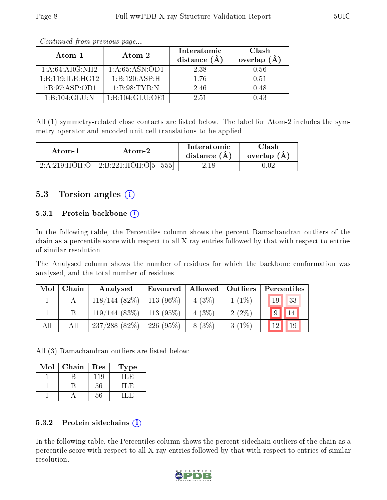| Atom-1           | Atom-2              | Interatomic<br>distance $(A)$ | Clash<br>overlap $(A)$ |
|------------------|---------------------|-------------------------------|------------------------|
| 1: A:64:ARG:NH2  | 1: A:65: ASN:OD1    | 2.38                          | 0.56                   |
| 1:B:119:ILE:HG12 | 1:B:120:ASP:H       | 176                           | 0.51                   |
| 1: B:97: ASP:OD1 | 1:B:98:TYR:N        | 246                           | 0.48                   |
| 1:B:104:GLU:N    | 1: B: 104: GLU: OE1 | 2.51                          | 0.43                   |

Continued from previous page...

All (1) symmetry-related close contacts are listed below. The label for Atom-2 includes the symmetry operator and encoded unit-cell translations to be applied.

| Atom-1        | Atom-2                       | Interatomic<br>distance $(A)$ | Clash<br>overlap $(A)$ |
|---------------|------------------------------|-------------------------------|------------------------|
| 2:A:219:HOH:O | $\perp$ 2:B:221:HOH:O[5 555] | 2.18                          |                        |

### 5.3 Torsion angles (i)

#### 5.3.1 Protein backbone (i)

In the following table, the Percentiles column shows the percent Ramachandran outliers of the chain as a percentile score with respect to all X-ray entries followed by that with respect to entries of similar resolution.

The Analysed column shows the number of residues for which the backbone conformation was analysed, and the total number of residues.

| Mol | Chain | Analysed                      | Favoured | Allowed  | $\mid$ Outliers | Percentiles |
|-----|-------|-------------------------------|----------|----------|-----------------|-------------|
|     |       | $118/144$ (82\%)   113 (96\%) |          | $4(3\%)$ | $1(1\%)$        | 33<br>19    |
|     |       | $119/144$ (83\%)   113 (95\%) |          | $4(3\%)$ | $2(2\%)$        | 14          |
| All | All   | $237/288$ (82\%)   226 (95\%) |          | $8(3\%)$ | $3(1\%)$        | 12<br>19    |

All (3) Ramachandran outliers are listed below:

| Mol | Chain | Res | Type |
|-----|-------|-----|------|
|     |       | 119 |      |
|     |       | 56  |      |
|     |       |     |      |

#### 5.3.2 Protein sidechains  $(i)$

In the following table, the Percentiles column shows the percent sidechain outliers of the chain as a percentile score with respect to all X-ray entries followed by that with respect to entries of similar resolution.

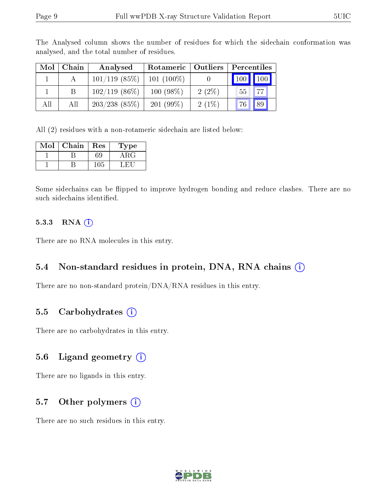| Mol | Chain | Analysed         | Rotameric   Outliers |          | Percentiles               |
|-----|-------|------------------|----------------------|----------|---------------------------|
|     |       | $101/119$ (85%)  | $101(100\%)$         |          | 100<br>$\blacksquare$ 100 |
|     |       | $102/119$ (86\%) | $100(98\%)$          | $2(2\%)$ | 77<br>55 <sub>1</sub>     |
| All | All   | $203/238$ (85\%) | $201(99\%)$          | 2(1%)    | 89<br>76                  |

The Analysed column shows the number of residues for which the sidechain conformation was analysed, and the total number of residues.

All (2) residues with a non-rotameric sidechain are listed below:

| Mol | Chain | Res | Type  |
|-----|-------|-----|-------|
|     |       | 69  | A R G |
|     |       |     |       |

Some sidechains can be flipped to improve hydrogen bonding and reduce clashes. There are no such sidechains identified.

#### 5.3.3 RNA (i)

There are no RNA molecules in this entry.

#### 5.4 Non-standard residues in protein, DNA, RNA chains (i)

There are no non-standard protein/DNA/RNA residues in this entry.

#### 5.5 Carbohydrates (i)

There are no carbohydrates in this entry.

#### 5.6 Ligand geometry  $(i)$

There are no ligands in this entry.

### 5.7 [O](https://www.wwpdb.org/validation/2017/XrayValidationReportHelp#nonstandard_residues_and_ligands)ther polymers (i)

There are no such residues in this entry.

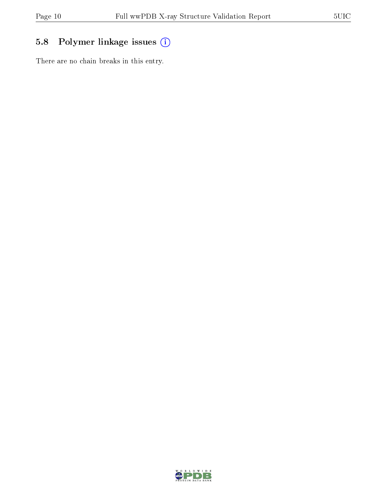### 5.8 Polymer linkage issues (i)

There are no chain breaks in this entry.

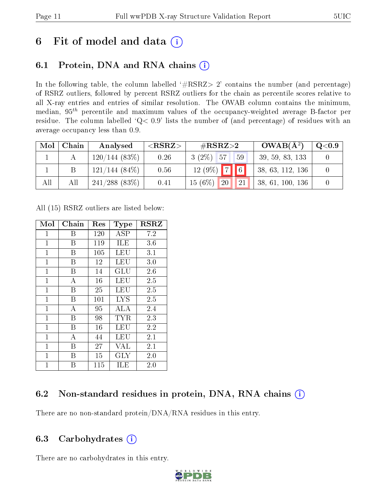## 6 Fit of model and data  $(i)$

### 6.1 Protein, DNA and RNA chains  $(i)$

In the following table, the column labelled  $#RSRZ> 2'$  contains the number (and percentage) of RSRZ outliers, followed by percent RSRZ outliers for the chain as percentile scores relative to all X-ray entries and entries of similar resolution. The OWAB column contains the minimum, median,  $95<sup>th</sup>$  percentile and maximum values of the occupancy-weighted average B-factor per residue. The column labelled ' $Q< 0.9$ ' lists the number of (and percentage) of residues with an average occupancy less than 0.9.

| Mol | Chain | Analysed         | $<$ RSRZ $>$ | # $RSRZ>2$                            | $OWAB(A^2)$      | $\mathrm{Q}{<}0.9$ |
|-----|-------|------------------|--------------|---------------------------------------|------------------|--------------------|
|     |       | $120/144(83\%)$  | 0.26         | $3(2\%)$ 57<br>59                     | 39, 59, 83, 133  |                    |
|     |       | $121/144(84\%)$  | 0.56         | $12(9\%)$ 7 6                         | 38, 63, 112, 136 |                    |
| All | All   | $241/288$ (83\%) | 0.41         | $15(6\%)$<br>$\sqrt{20}$<br><b>21</b> | 38, 61, 100, 136 |                    |

All (15) RSRZ outliers are listed below:

| Mol            | Chain          | $\operatorname{Res}% \left( \mathcal{N}\right) \equiv\operatorname{Res}(\mathcal{N}_{0},\mathcal{N}_{0})$ | Type       | <b>RSRZ</b> |
|----------------|----------------|-----------------------------------------------------------------------------------------------------------|------------|-------------|
| $\mathbf 1$    | Β              | 120                                                                                                       | ASP        | 7.2         |
| $\mathbf{1}$   | В              | 119                                                                                                       | <b>ILE</b> | 3.6         |
| $\mathbf{1}$   | Β              | 105                                                                                                       | LEU        | 3.1         |
| $\mathbf{1}$   | В              | 12                                                                                                        | LEU        | 3.0         |
| $\mathbf{1}$   | Β              | 14                                                                                                        | GLU        | 2.6         |
| $\mathbf{1}$   | А              | 16                                                                                                        | LEU        | 2.5         |
| $\mathbf{1}$   | В              | 25                                                                                                        | <b>LEU</b> | 2.5         |
| $\mathbf 1$    | Β              | 101                                                                                                       | <b>LYS</b> | 2.5         |
| $\mathbf{1}$   | $\overline{A}$ | 95                                                                                                        | ALA        | 2.4         |
| $\overline{1}$ | B              | 98                                                                                                        | TYR        | 2.3         |
| $\mathbf{1}$   | B              | 16                                                                                                        | LEU        | 2.2         |
| $\mathbf{1}$   | $\overline{A}$ | 44                                                                                                        | <b>LEU</b> | 2.1         |
| $\mathbf{1}$   | В              | 27                                                                                                        | <b>VAL</b> | 2.1         |
| $\mathbf{1}$   | В              | 15                                                                                                        | <b>GLY</b> | 2.0         |
| $\mathbf 1$    | В              | 115                                                                                                       | ILE        | 2.0         |

### 6.2 Non-standard residues in protein, DNA, RNA chains (i)

There are no non-standard protein/DNA/RNA residues in this entry.

### 6.3 Carbohydrates  $(i)$

There are no carbohydrates in this entry.